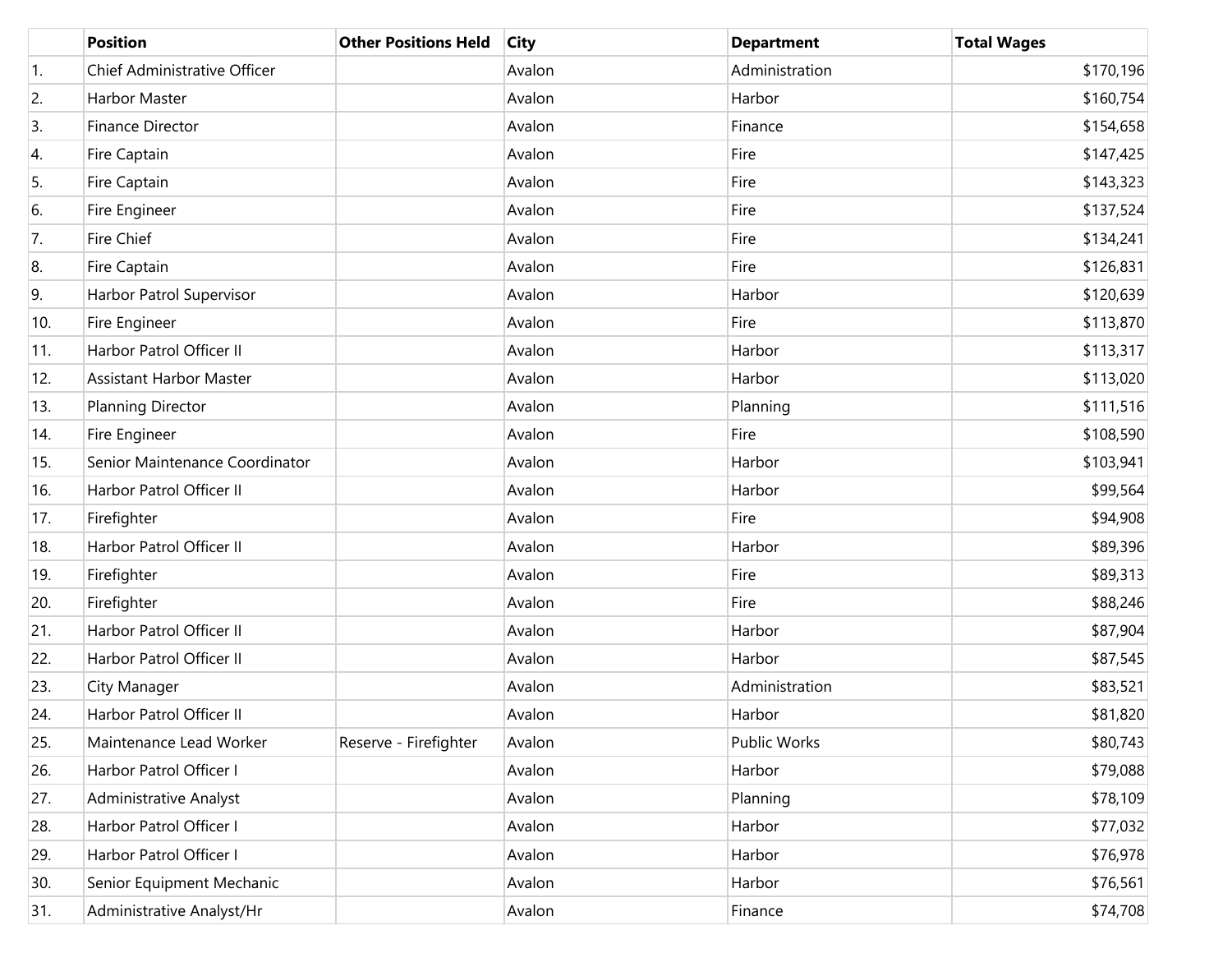|     | <b>Position</b>                | <b>Other Positions Held</b> | <b>City</b> | <b>Department</b> | <b>Total Wages</b> |
|-----|--------------------------------|-----------------------------|-------------|-------------------|--------------------|
| 1.  | Chief Administrative Officer   |                             | Avalon      | Administration    | \$170,196          |
| 2.  | Harbor Master                  |                             | Avalon      | Harbor            | \$160,754          |
| 3.  | Finance Director               |                             | Avalon      | Finance           | \$154,658          |
| 4.  | Fire Captain                   |                             | Avalon      | Fire              | \$147,425          |
| 5.  | Fire Captain                   |                             | Avalon      | Fire              | \$143,323          |
| 6.  | Fire Engineer                  |                             | Avalon      | Fire              | \$137,524          |
| 7.  | <b>Fire Chief</b>              |                             | Avalon      | Fire              | \$134,241          |
| 8.  | Fire Captain                   |                             | Avalon      | Fire              | \$126,831          |
| 9.  | Harbor Patrol Supervisor       |                             | Avalon      | Harbor            | \$120,639          |
| 10. | Fire Engineer                  |                             | Avalon      | Fire              | \$113,870          |
| 11. | Harbor Patrol Officer II       |                             | Avalon      | Harbor            | \$113,317          |
| 12. | <b>Assistant Harbor Master</b> |                             | Avalon      | Harbor            | \$113,020          |
| 13. | Planning Director              |                             | Avalon      | Planning          | \$111,516          |
| 14. | Fire Engineer                  |                             | Avalon      | Fire              | \$108,590          |
| 15. | Senior Maintenance Coordinator |                             | Avalon      | Harbor            | \$103,941          |
| 16. | Harbor Patrol Officer II       |                             | Avalon      | Harbor            | \$99,564           |
| 17. | Firefighter                    |                             | Avalon      | Fire              | \$94,908           |
| 18. | Harbor Patrol Officer II       |                             | Avalon      | Harbor            | \$89,396           |
| 19. | Firefighter                    |                             | Avalon      | Fire              | \$89,313           |
| 20. | Firefighter                    |                             | Avalon      | Fire              | \$88,246           |
| 21. | Harbor Patrol Officer II       |                             | Avalon      | Harbor            | \$87,904           |
| 22. | Harbor Patrol Officer II       |                             | Avalon      | Harbor            | \$87,545           |
| 23. | City Manager                   |                             | Avalon      | Administration    | \$83,521           |
| 24. | Harbor Patrol Officer II       |                             | Avalon      | Harbor            | \$81,820           |
| 25. | Maintenance Lead Worker        | Reserve - Firefighter       | Avalon      | Public Works      | \$80,743           |
| 26. | Harbor Patrol Officer I        |                             | Avalon      | Harbor            | \$79,088           |
| 27. | <b>Administrative Analyst</b>  |                             | Avalon      | Planning          | \$78,109           |
| 28. | Harbor Patrol Officer I        |                             | Avalon      | Harbor            | \$77,032           |
| 29. | Harbor Patrol Officer I        |                             | Avalon      | Harbor            | \$76,978           |
| 30. | Senior Equipment Mechanic      |                             | Avalon      | Harbor            | \$76,561           |
| 31. | Administrative Analyst/Hr      |                             | Avalon      | Finance           | \$74,708           |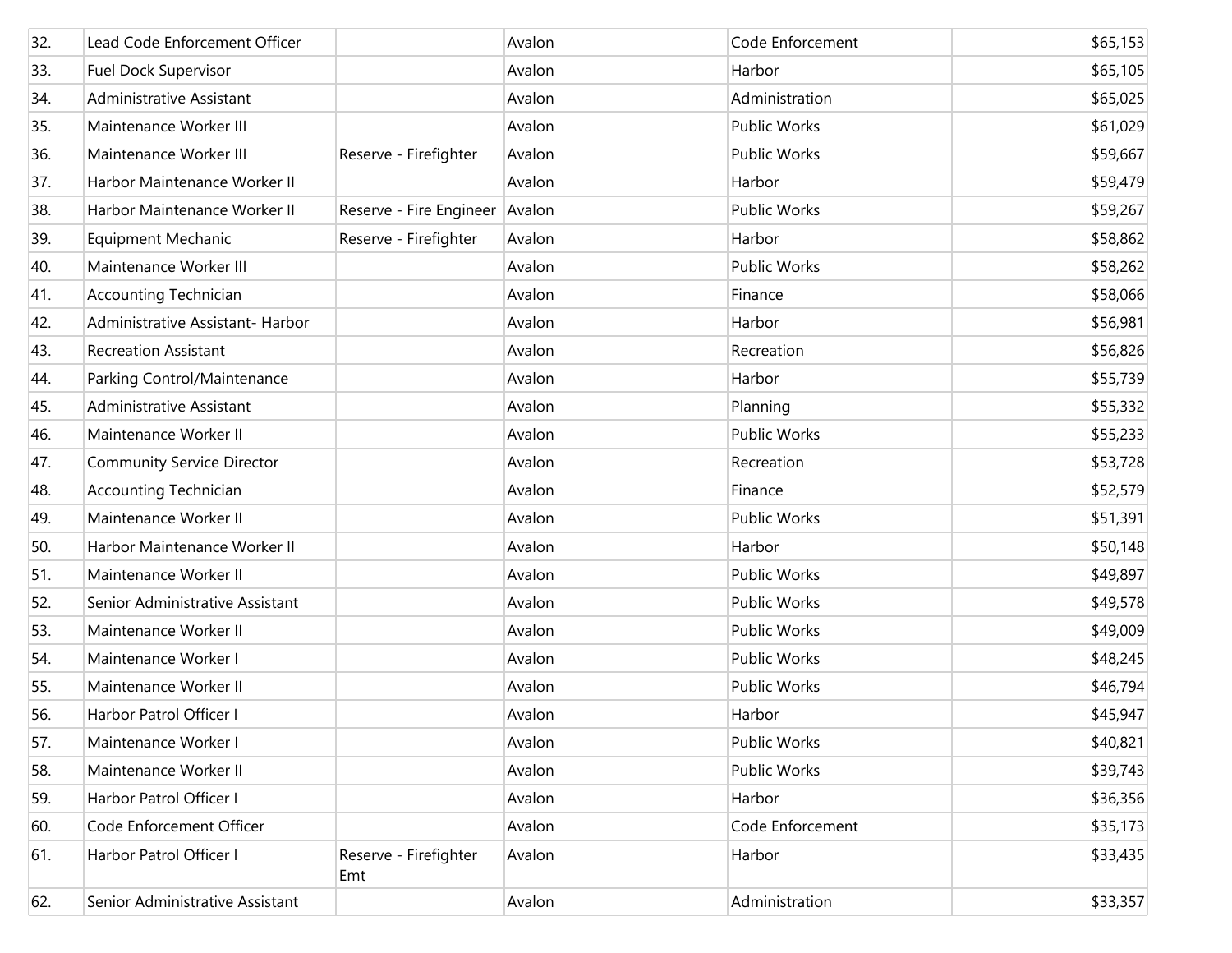| 32. | Lead Code Enforcement Officer     |                              | Avalon | Code Enforcement    | \$65,153 |
|-----|-----------------------------------|------------------------------|--------|---------------------|----------|
| 33. | <b>Fuel Dock Supervisor</b>       |                              | Avalon | Harbor              | \$65,105 |
| 34. | Administrative Assistant          |                              | Avalon | Administration      | \$65,025 |
| 35. | Maintenance Worker III            |                              | Avalon | <b>Public Works</b> | \$61,029 |
| 36. | Maintenance Worker III            | Reserve - Firefighter        | Avalon | Public Works        | \$59,667 |
| 37. | Harbor Maintenance Worker II      |                              | Avalon | Harbor              | \$59,479 |
| 38. | Harbor Maintenance Worker II      | Reserve - Fire Engineer      | Avalon | <b>Public Works</b> | \$59,267 |
| 39. | <b>Equipment Mechanic</b>         | Reserve - Firefighter        | Avalon | Harbor              | \$58,862 |
| 40. | Maintenance Worker III            |                              | Avalon | <b>Public Works</b> | \$58,262 |
| 41. | <b>Accounting Technician</b>      |                              | Avalon | Finance             | \$58,066 |
| 42. | Administrative Assistant- Harbor  |                              | Avalon | Harbor              | \$56,981 |
| 43. | <b>Recreation Assistant</b>       |                              | Avalon | Recreation          | \$56,826 |
| 44. | Parking Control/Maintenance       |                              | Avalon | Harbor              | \$55,739 |
| 45. | Administrative Assistant          |                              | Avalon | Planning            | \$55,332 |
| 46. | Maintenance Worker II             |                              | Avalon | <b>Public Works</b> | \$55,233 |
| 47. | <b>Community Service Director</b> |                              | Avalon | Recreation          | \$53,728 |
| 48. | <b>Accounting Technician</b>      |                              | Avalon | Finance             | \$52,579 |
| 49. | Maintenance Worker II             |                              | Avalon | Public Works        | \$51,391 |
| 50. | Harbor Maintenance Worker II      |                              | Avalon | Harbor              | \$50,148 |
| 51. | Maintenance Worker II             |                              | Avalon | <b>Public Works</b> | \$49,897 |
| 52. | Senior Administrative Assistant   |                              | Avalon | <b>Public Works</b> | \$49,578 |
| 53. | Maintenance Worker II             |                              | Avalon | Public Works        | \$49,009 |
| 54. | Maintenance Worker I              |                              | Avalon | <b>Public Works</b> | \$48,245 |
| 55. | Maintenance Worker II             |                              | Avalon | Public Works        | \$46,794 |
| 56. | Harbor Patrol Officer I           |                              | Avalon | Harbor              | \$45,947 |
| 57. | Maintenance Worker I              |                              | Avalon | Public Works        | \$40,821 |
| 58. | Maintenance Worker II             |                              | Avalon | <b>Public Works</b> | \$39,743 |
| 59. | Harbor Patrol Officer I           |                              | Avalon | Harbor              | \$36,356 |
| 60. | Code Enforcement Officer          |                              | Avalon | Code Enforcement    | \$35,173 |
| 61. | Harbor Patrol Officer I           | Reserve - Firefighter<br>Emt | Avalon | Harbor              | \$33,435 |
| 62. | Senior Administrative Assistant   |                              | Avalon | Administration      | \$33,357 |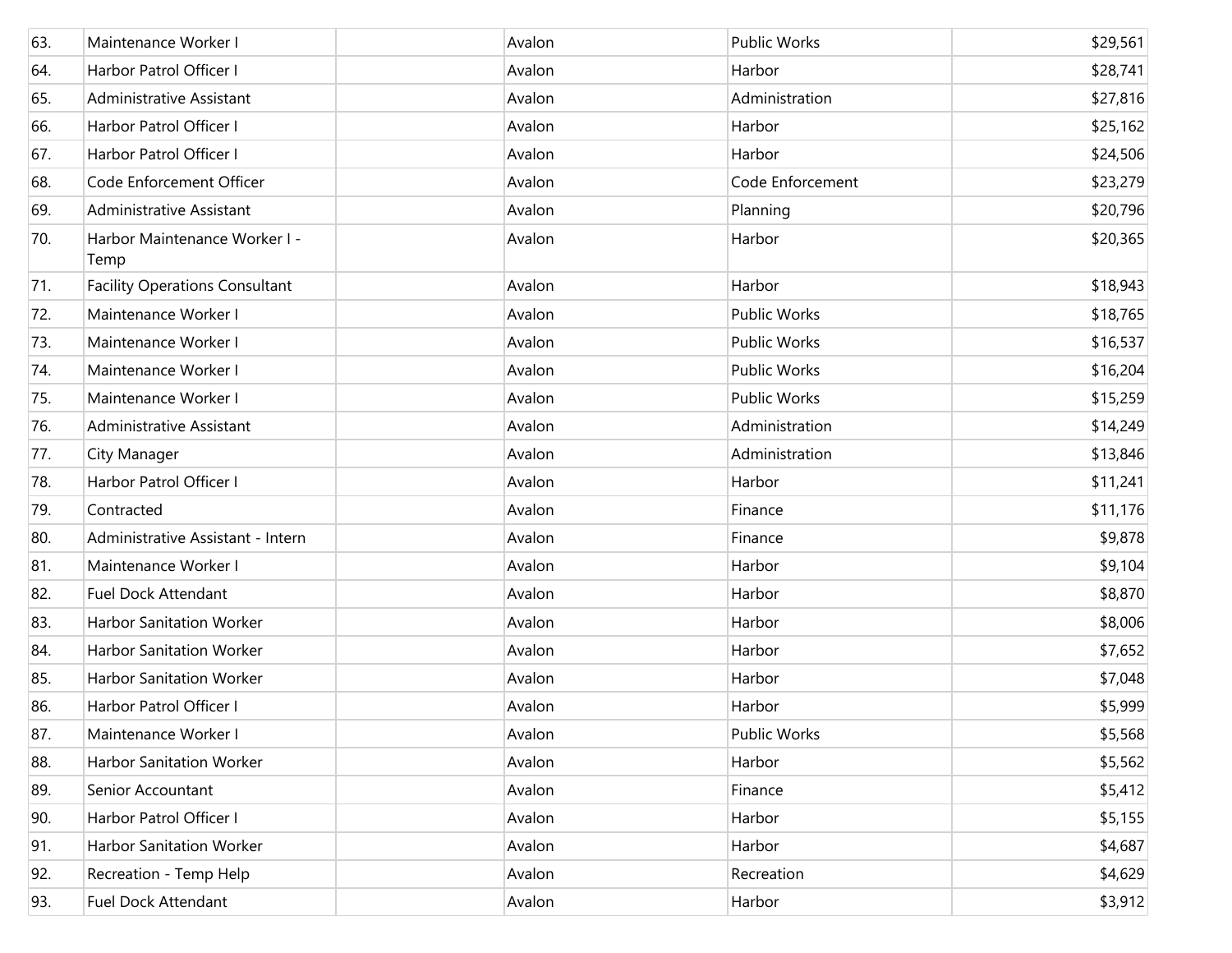| 63. | Maintenance Worker I                  | Avalon | Public Works     | \$29,561 |
|-----|---------------------------------------|--------|------------------|----------|
| 64. | Harbor Patrol Officer I               | Avalon | Harbor           | \$28,741 |
| 65. | Administrative Assistant              | Avalon | Administration   | \$27,816 |
| 66. | Harbor Patrol Officer I               | Avalon | Harbor           | \$25,162 |
| 67. | Harbor Patrol Officer I               | Avalon | Harbor           | \$24,506 |
| 68. | Code Enforcement Officer              | Avalon | Code Enforcement | \$23,279 |
| 69. | Administrative Assistant              | Avalon | Planning         | \$20,796 |
| 70. | Harbor Maintenance Worker I -<br>Temp | Avalon | Harbor           | \$20,365 |
| 71. | <b>Facility Operations Consultant</b> | Avalon | Harbor           | \$18,943 |
| 72. | Maintenance Worker I                  | Avalon | Public Works     | \$18,765 |
| 73. | Maintenance Worker I                  | Avalon | Public Works     | \$16,537 |
| 74. | Maintenance Worker I                  | Avalon | Public Works     | \$16,204 |
| 75. | Maintenance Worker I                  | Avalon | Public Works     | \$15,259 |
| 76. | Administrative Assistant              | Avalon | Administration   | \$14,249 |
| 77. | City Manager                          | Avalon | Administration   | \$13,846 |
| 78. | Harbor Patrol Officer I               | Avalon | Harbor           | \$11,241 |
| 79. | Contracted                            | Avalon | Finance          | \$11,176 |
| 80. | Administrative Assistant - Intern     | Avalon | Finance          | \$9,878  |
| 81. | Maintenance Worker I                  | Avalon | Harbor           | \$9,104  |
| 82. | <b>Fuel Dock Attendant</b>            | Avalon | Harbor           | \$8,870  |
| 83. | Harbor Sanitation Worker              | Avalon | Harbor           | \$8,006  |
| 84. | Harbor Sanitation Worker              | Avalon | Harbor           | \$7,652  |
| 85. | Harbor Sanitation Worker              | Avalon | Harbor           | \$7,048  |
| 86. | Harbor Patrol Officer I               | Avalon | Harbor           | \$5,999  |
| 87. | Maintenance Worker I                  | Avalon | Public Works     | \$5,568  |
| 88. | Harbor Sanitation Worker              | Avalon | Harbor           | \$5,562  |
| 89. | Senior Accountant                     | Avalon | Finance          | \$5,412  |
| 90. | Harbor Patrol Officer I               | Avalon | Harbor           | \$5,155  |
| 91. | Harbor Sanitation Worker              | Avalon | Harbor           | \$4,687  |
| 92. | Recreation - Temp Help                | Avalon | Recreation       | \$4,629  |
| 93. | <b>Fuel Dock Attendant</b>            | Avalon | Harbor           | \$3,912  |